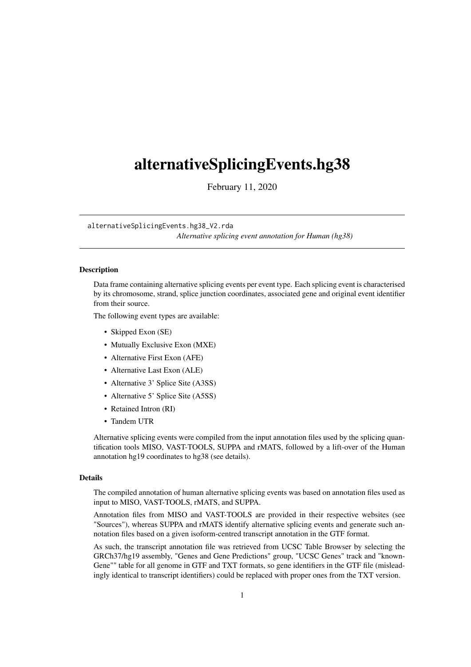## <span id="page-0-0"></span>alternativeSplicingEvents.hg38

February 11, 2020

#### alternativeSplicingEvents.hg38\_V2.rda

*Alternative splicing event annotation for Human (hg38)*

#### Description

Data frame containing alternative splicing events per event type. Each splicing event is characterised by its chromosome, strand, splice junction coordinates, associated gene and original event identifier from their source.

The following event types are available:

- Skipped Exon (SE)
- Mutually Exclusive Exon (MXE)
- Alternative First Exon (AFE)
- Alternative Last Exon (ALE)
- Alternative 3' Splice Site (A3SS)
- Alternative 5' Splice Site (A5SS)
- Retained Intron (RI)
- Tandem UTR

Alternative splicing events were compiled from the input annotation files used by the splicing quantification tools MISO, VAST-TOOLS, SUPPA and rMATS, followed by a lift-over of the Human annotation hg19 coordinates to hg38 (see details).

#### Details

The compiled annotation of human alternative splicing events was based on annotation files used as input to MISO, VAST-TOOLS, rMATS, and SUPPA.

Annotation files from MISO and VAST-TOOLS are provided in their respective websites (see "Sources"), whereas SUPPA and rMATS identify alternative splicing events and generate such annotation files based on a given isoform-centred transcript annotation in the GTF format.

As such, the transcript annotation file was retrieved from UCSC Table Browser by selecting the GRCh37/hg19 assembly, "Genes and Gene Predictions" group, "UCSC Genes" track and "known-Gene"" table for all genome in GTF and TXT formats, so gene identifiers in the GTF file (misleadingly identical to transcript identifiers) could be replaced with proper ones from the TXT version.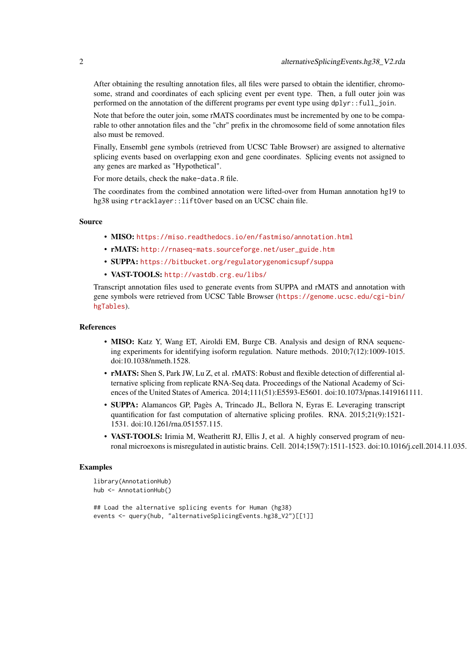After obtaining the resulting annotation files, all files were parsed to obtain the identifier, chromosome, strand and coordinates of each splicing event per event type. Then, a full outer join was performed on the annotation of the different programs per event type using dplyr::full\_join.

Note that before the outer join, some rMATS coordinates must be incremented by one to be comparable to other annotation files and the "chr" prefix in the chromosome field of some annotation files also must be removed.

Finally, Ensembl gene symbols (retrieved from UCSC Table Browser) are assigned to alternative splicing events based on overlapping exon and gene coordinates. Splicing events not assigned to any genes are marked as "Hypothetical".

For more details, check the make-data.R file.

The coordinates from the combined annotation were lifted-over from Human annotation hg19 to hg38 using rtracklayer::liftOver based on an UCSC chain file.

#### Source

- MISO: <https://miso.readthedocs.io/en/fastmiso/annotation.html>
- rMATS: [http://rnaseq-mats.sourceforge.net/user\\_guide.htm](http://rnaseq-mats.sourceforge.net/user_guide.htm)
- SUPPA: <https://bitbucket.org/regulatorygenomicsupf/suppa>
- VAST-TOOLS: <http://vastdb.crg.eu/libs/>

Transcript annotation files used to generate events from SUPPA and rMATS and annotation with gene symbols were retrieved from UCSC Table Browser ([https://genome.ucsc.edu/cgi-bin/](https://genome.ucsc.edu/cgi-bin/hgTables) [hgTables](https://genome.ucsc.edu/cgi-bin/hgTables)).

#### References

- MISO: Katz Y, Wang ET, Airoldi EM, Burge CB. Analysis and design of RNA sequencing experiments for identifying isoform regulation. Nature methods. 2010;7(12):1009-1015. doi:10.1038/nmeth.1528.
- rMATS: Shen S, Park JW, Lu Z, et al. rMATS: Robust and flexible detection of differential alternative splicing from replicate RNA-Seq data. Proceedings of the National Academy of Sciences of the United States of America. 2014;111(51):E5593-E5601. doi:10.1073/pnas.1419161111.
- SUPPA: Alamancos GP, Pagès A, Trincado JL, Bellora N, Eyras E. Leveraging transcript quantification for fast computation of alternative splicing profiles. RNA. 2015;21(9):1521- 1531. doi:10.1261/rna.051557.115.
- VAST-TOOLS: Irimia M, Weatheritt RJ, Ellis J, et al. A highly conserved program of neuronal microexons is misregulated in autistic brains. Cell. 2014;159(7):1511-1523. doi:10.1016/j.cell.2014.11.035.

#### Examples

```
library(AnnotationHub)
hub <- AnnotationHub()
## Load the alternative splicing events for Human (hg38)
```
events <- query(hub, "alternativeSplicingEvents.hg38\_V2")[[1]]